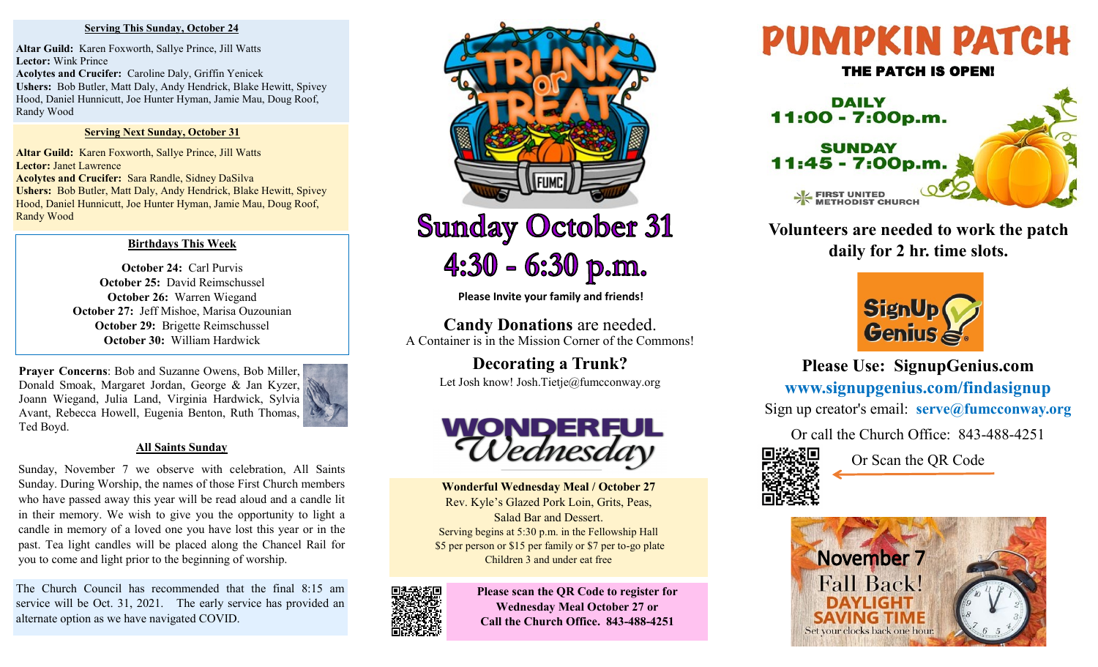### **Serving This Sunday, October 24**

**Altar Guild:** Karen Foxworth, Sallye Prince, Jill Watts **Lector:** Wink Prince **Acolytes and Crucifer:** Caroline Daly, Griffin Yenicek **Ushers:** Bob Butler, Matt Daly, Andy Hendrick, Blake Hewitt, Spivey Hood, Daniel Hunnicutt, Joe Hunter Hyman, Jamie Mau, Doug Roof, Randy Wood

## **Serving Next Sunday, October 31**

**Altar Guild:** Karen Foxworth, Sallye Prince, Jill Watts **Lector:** Janet Lawrence **Acolytes and Crucifer:** Sara Randle, Sidney DaSilva **Ushers:** Bob Butler, Matt Daly, Andy Hendrick, Blake Hewitt, Spivey Hood, Daniel Hunnicutt, Joe Hunter Hyman, Jamie Mau, Doug Roof, Randy Wood

## **Birthdays This Week**

**October 24:** Carl Purvis **October 25:** David Reimschussel **October 26:** Warren Wiegand **October 27:** Jeff Mishoe, Marisa Ouzounian **October 29:** Brigette Reimschussel **October 30:** William Hardwick

**Prayer Concerns**: Bob and Suzanne Owens, Bob Miller, Donald Smoak, Margaret Jordan, George & Jan Kyzer, Joann Wiegand, Julia Land, Virginia Hardwick, Sylvia Avant, Rebecca Howell, Eugenia Benton, Ruth Thomas, Ted Boyd.



Sunday, November 7 we observe with celebration, All Saints Sunday. During Worship, the names of those First Church members who have passed away this year will be read aloud and a candle lit in their memory. We wish to give you the opportunity to light a candle in memory of a loved one you have lost this year or in the past. Tea light candles will be placed along the Chancel Rail for you to come and light prior to the beginning of worship.

The Church Council has recommended that the final 8:15 am service will be Oct. 31, 2021. The early service has provided an alternate option as we have navigated COVID.



**Sunday October 31** 4:30 - 6:30 p.m.

**Please Invite your family and friends!**

**Candy Donations** are needed. A Container is in the Mission Corner of the Commons!

> **Decorating a Trunk?**  Let Josh know! Josh.Tietje@fumcconway.org



**Wonderful Wednesday Meal / October 27**  Rev. Kyle's Glazed Pork Loin, Grits, Peas, Salad Bar and Dessert. Serving begins at 5:30 p.m. in the Fellowship Hall \$5 per person or \$15 per family or \$7 per to-go plate Children 3 and under eat free



**Please scan the QR Code to register for Wednesday Meal October 27 or Call the Church Office. 843-488-4251**





**Volunteers are needed to work the patch daily for 2 hr. time slots.**



**Please Use: SignupGenius.com www.signupgenius.com/findasignup** Sign up creator's email: **serve@fumcconway.org**

Or call the Church Office: 843-488-4251



Or Scan the QR Code